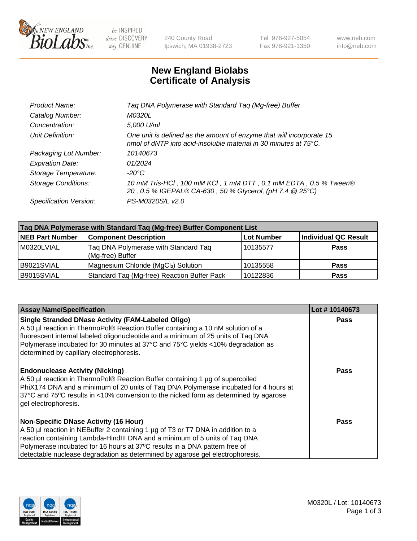

 $be$  INSPIRED drive DISCOVERY stay GENUINE

240 County Road Ipswich, MA 01938-2723 Tel 978-927-5054 Fax 978-921-1350 www.neb.com info@neb.com

## **New England Biolabs Certificate of Analysis**

| Taq DNA Polymerase with Standard Taq (Mg-free) Buffer                                                                                    |
|------------------------------------------------------------------------------------------------------------------------------------------|
| M0320L                                                                                                                                   |
| 5,000 U/ml                                                                                                                               |
| One unit is defined as the amount of enzyme that will incorporate 15<br>nmol of dNTP into acid-insoluble material in 30 minutes at 75°C. |
| 10140673                                                                                                                                 |
| 01/2024                                                                                                                                  |
| $-20^{\circ}$ C                                                                                                                          |
| 10 mM Tris-HCI, 100 mM KCI, 1 mM DTT, 0.1 mM EDTA, 0.5 % Tween®<br>20, 0.5 % IGEPAL® CA-630, 50 % Glycerol, (pH 7.4 @ 25°C)              |
| PS-M0320S/L v2.0                                                                                                                         |
|                                                                                                                                          |

| Taq DNA Polymerase with Standard Taq (Mg-free) Buffer Component List |                                                          |                   |                             |  |  |
|----------------------------------------------------------------------|----------------------------------------------------------|-------------------|-----------------------------|--|--|
| <b>NEB Part Number</b>                                               | <b>Component Description</b>                             | <b>Lot Number</b> | <b>Individual QC Result</b> |  |  |
| M0320LVIAL                                                           | Tag DNA Polymerase with Standard Tag<br>(Mg-free) Buffer | 10135577          | <b>Pass</b>                 |  |  |
| B9021SVIAL                                                           | Magnesium Chloride (MgCl2) Solution                      | 10135558          | <b>Pass</b>                 |  |  |
| B9015SVIAL                                                           | Standard Taq (Mg-free) Reaction Buffer Pack              | 10122836          | <b>Pass</b>                 |  |  |

| <b>Assay Name/Specification</b>                                                                                                                                                                                                                                                                                                                                              | Lot #10140673 |
|------------------------------------------------------------------------------------------------------------------------------------------------------------------------------------------------------------------------------------------------------------------------------------------------------------------------------------------------------------------------------|---------------|
| <b>Single Stranded DNase Activity (FAM-Labeled Oligo)</b><br>A 50 µl reaction in ThermoPol® Reaction Buffer containing a 10 nM solution of a<br>fluorescent internal labeled oligonucleotide and a minimum of 25 units of Taq DNA<br>Polymerase incubated for 30 minutes at 37°C and 75°C yields <10% degradation as<br>determined by capillary electrophoresis.             | <b>Pass</b>   |
| <b>Endonuclease Activity (Nicking)</b><br>A 50 µl reaction in ThermoPol® Reaction Buffer containing 1 µg of supercoiled<br>PhiX174 DNA and a minimum of 20 units of Taq DNA Polymerase incubated for 4 hours at<br>37°C and 75°C results in <10% conversion to the nicked form as determined by agarose<br>gel electrophoresis.                                              | Pass          |
| <b>Non-Specific DNase Activity (16 Hour)</b><br>A 50 µl reaction in NEBuffer 2 containing 1 µg of T3 or T7 DNA in addition to a<br>reaction containing Lambda-HindIII DNA and a minimum of 5 units of Taq DNA<br>Polymerase incubated for 16 hours at 37°C results in a DNA pattern free of<br>detectable nuclease degradation as determined by agarose gel electrophoresis. | Pass          |

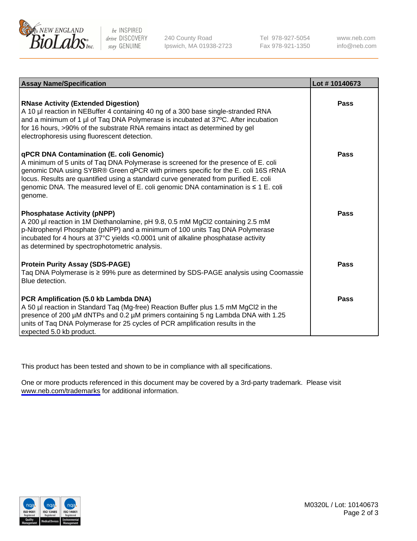

be INSPIRED drive DISCOVERY stay GENUINE

240 County Road Ipswich, MA 01938-2723 Tel 978-927-5054 Fax 978-921-1350

www.neb.com info@neb.com

| <b>Assay Name/Specification</b>                                                                                                                                                                                                                                                                                                                                                                                      | Lot #10140673 |
|----------------------------------------------------------------------------------------------------------------------------------------------------------------------------------------------------------------------------------------------------------------------------------------------------------------------------------------------------------------------------------------------------------------------|---------------|
| <b>RNase Activity (Extended Digestion)</b><br>A 10 µl reaction in NEBuffer 4 containing 40 ng of a 300 base single-stranded RNA<br>and a minimum of 1 µl of Taq DNA Polymerase is incubated at 37°C. After incubation<br>for 16 hours, >90% of the substrate RNA remains intact as determined by gel<br>electrophoresis using fluorescent detection.                                                                 | Pass          |
| <b>qPCR DNA Contamination (E. coli Genomic)</b><br>A minimum of 5 units of Taq DNA Polymerase is screened for the presence of E. coli<br>genomic DNA using SYBR® Green qPCR with primers specific for the E. coli 16S rRNA<br>locus. Results are quantified using a standard curve generated from purified E. coli<br>genomic DNA. The measured level of E. coli genomic DNA contamination is ≤ 1 E. coli<br>genome. | Pass          |
| <b>Phosphatase Activity (pNPP)</b><br>A 200 µl reaction in 1M Diethanolamine, pH 9.8, 0.5 mM MgCl2 containing 2.5 mM<br>p-Nitrophenyl Phosphate (pNPP) and a minimum of 100 units Taq DNA Polymerase<br>incubated for 4 hours at 37°C yields <0.0001 unit of alkaline phosphatase activity<br>as determined by spectrophotometric analysis.                                                                          | Pass          |
| <b>Protein Purity Assay (SDS-PAGE)</b><br>Taq DNA Polymerase is ≥ 99% pure as determined by SDS-PAGE analysis using Coomassie<br>Blue detection.                                                                                                                                                                                                                                                                     | Pass          |
| PCR Amplification (5.0 kb Lambda DNA)<br>A 50 µl reaction in Standard Taq (Mg-free) Reaction Buffer plus 1.5 mM MgCl2 in the<br>presence of 200 µM dNTPs and 0.2 µM primers containing 5 ng Lambda DNA with 1.25<br>units of Taq DNA Polymerase for 25 cycles of PCR amplification results in the<br>expected 5.0 kb product.                                                                                        | Pass          |

This product has been tested and shown to be in compliance with all specifications.

One or more products referenced in this document may be covered by a 3rd-party trademark. Please visit <www.neb.com/trademarks>for additional information.